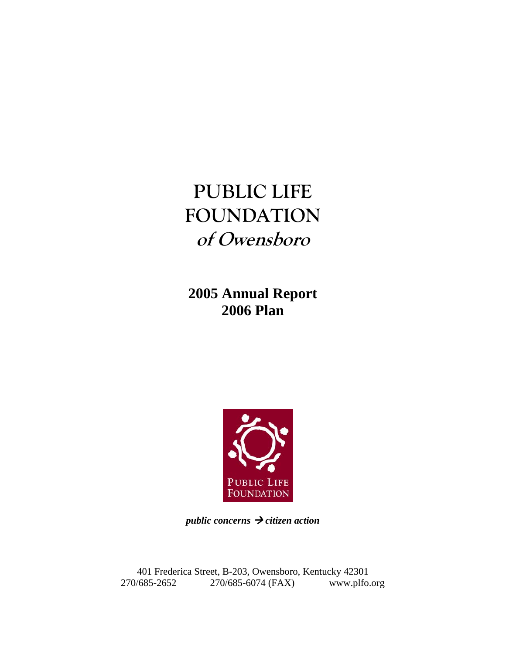# **PUBLIC LIFE FOUNDATION of Owensboro**

**2005 Annual Report 2006 Plan** 



*public concerns → citizen action* 

401 Frederica Street, B-203, Owensboro, Kentucky 42301 270/685-2652 270/685-6074 (FAX) www.plfo.org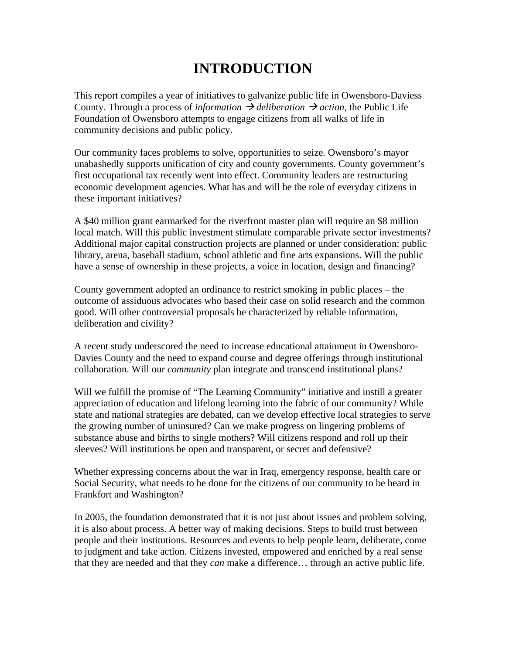# **INTRODUCTION**

This report compiles a year of initiatives to galvanize public life in Owensboro-Daviess County. Through a process of *information*  $\rightarrow$  *deliberation*  $\rightarrow$  *action*, the Public Life Foundation of Owensboro attempts to engage citizens from all walks of life in community decisions and public policy.

Our community faces problems to solve, opportunities to seize. Owensboro's mayor unabashedly supports unification of city and county governments. County government's first occupational tax recently went into effect. Community leaders are restructuring economic development agencies. What has and will be the role of everyday citizens in these important initiatives?

A \$40 million grant earmarked for the riverfront master plan will require an \$8 million local match. Will this public investment stimulate comparable private sector investments? Additional major capital construction projects are planned or under consideration: public library, arena, baseball stadium, school athletic and fine arts expansions. Will the public have a sense of ownership in these projects, a voice in location, design and financing?

County government adopted an ordinance to restrict smoking in public places – the outcome of assiduous advocates who based their case on solid research and the common good. Will other controversial proposals be characterized by reliable information, deliberation and civility?

A recent study underscored the need to increase educational attainment in Owensboro-Davies County and the need to expand course and degree offerings through institutional collaboration. Will our *community* plan integrate and transcend institutional plans?

Will we fulfill the promise of "The Learning Community" initiative and instill a greater appreciation of education and lifelong learning into the fabric of our community? While state and national strategies are debated, can we develop effective local strategies to serve the growing number of uninsured? Can we make progress on lingering problems of substance abuse and births to single mothers? Will citizens respond and roll up their sleeves? Will institutions be open and transparent, or secret and defensive?

Whether expressing concerns about the war in Iraq, emergency response, health care or Social Security, what needs to be done for the citizens of our community to be heard in Frankfort and Washington?

In 2005, the foundation demonstrated that it is not just about issues and problem solving, it is also about process. A better way of making decisions. Steps to build trust between people and their institutions. Resources and events to help people learn, deliberate, come to judgment and take action. Citizens invested, empowered and enriched by a real sense that they are needed and that they *can* make a difference… through an active public life.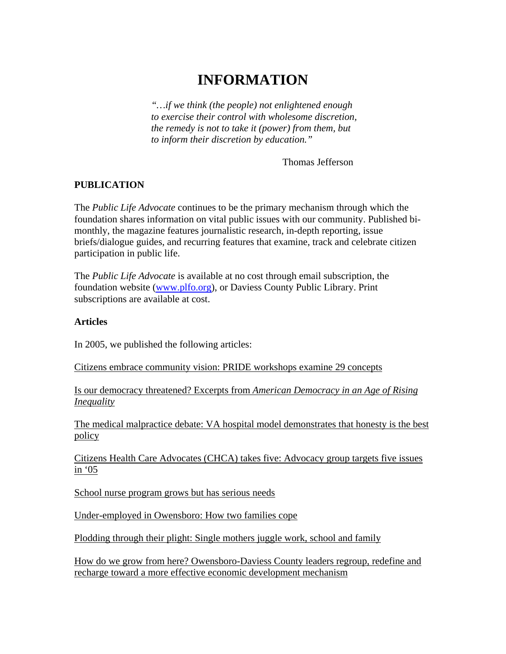# **INFORMATION**

 *"…if we think (the people) not enlightened enough to exercise their control with wholesome discretion, the remedy is not to take it (power) from them, but to inform their discretion by education."* 

Thomas Jefferson

# **PUBLICATION**

The *Public Life Advocate* continues to be the primary mechanism through which the foundation shares information on vital public issues with our community. Published bimonthly, the magazine features journalistic research, in-depth reporting, issue briefs/dialogue guides, and recurring features that examine, track and celebrate citizen participation in public life.

The *Public Life Advocate* is available at no cost through email subscription, the foundation website ([www.plfo.org\)](http://www.plfo.org/), or Daviess County Public Library. Print subscriptions are available at cost.

#### **Articles**

In 2005, we published the following articles:

Citizens embrace community vision: PRIDE workshops examine 29 concepts

Is our democracy threatened? Excerpts from *American Democracy in an Age of Rising Inequality*

The medical malpractice debate: VA hospital model demonstrates that honesty is the best policy

Citizens Health Care Advocates (CHCA) takes five: Advocacy group targets five issues in '05

School nurse program grows but has serious needs

Under-employed in Owensboro: How two families cope

Plodding through their plight: Single mothers juggle work, school and family

How do we grow from here? Owensboro-Daviess County leaders regroup, redefine and recharge toward a more effective economic development mechanism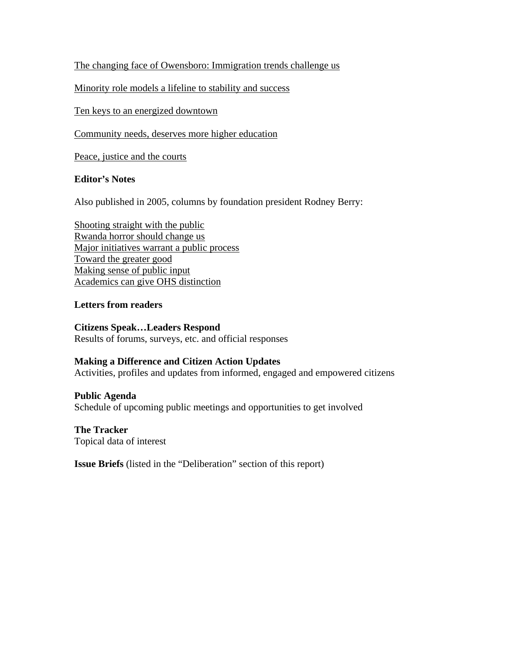The changing face of Owensboro: Immigration trends challenge us

Minority role models a lifeline to stability and success

Ten keys to an energized downtown

Community needs, deserves more higher education

Peace, justice and the courts

#### **Editor's Notes**

Also published in 2005, columns by foundation president Rodney Berry:

Shooting straight with the public Rwanda horror should change us Major initiatives warrant a public process Toward the greater good Making sense of public input Academics can give OHS distinction

#### **Letters from readers**

**Citizens Speak…Leaders Respond**  Results of forums, surveys, etc. and official responses

# **Making a Difference and Citizen Action Updates**

Activities, profiles and updates from informed, engaged and empowered citizens

#### **Public Agenda**

Schedule of upcoming public meetings and opportunities to get involved

#### **The Tracker**  Topical data of interest

**Issue Briefs** (listed in the "Deliberation" section of this report)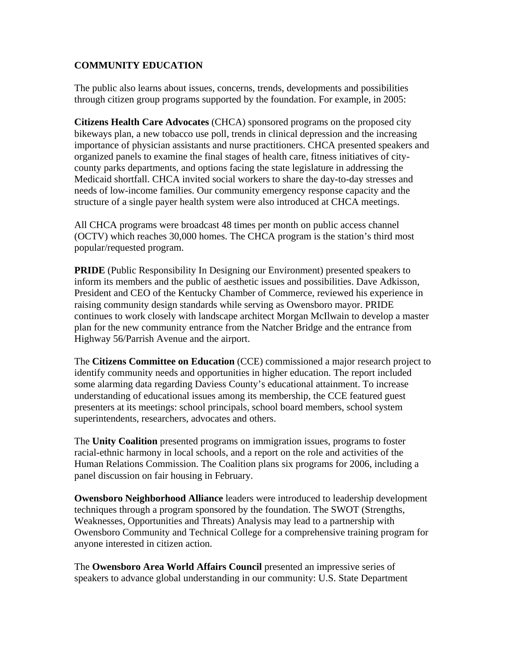# **COMMUNITY EDUCATION**

The public also learns about issues, concerns, trends, developments and possibilities through citizen group programs supported by the foundation. For example, in 2005:

**Citizens Health Care Advocates** (CHCA) sponsored programs on the proposed city bikeways plan, a new tobacco use poll, trends in clinical depression and the increasing importance of physician assistants and nurse practitioners. CHCA presented speakers and organized panels to examine the final stages of health care, fitness initiatives of citycounty parks departments, and options facing the state legislature in addressing the Medicaid shortfall. CHCA invited social workers to share the day-to-day stresses and needs of low-income families. Our community emergency response capacity and the structure of a single payer health system were also introduced at CHCA meetings.

All CHCA programs were broadcast 48 times per month on public access channel (OCTV) which reaches 30,000 homes. The CHCA program is the station's third most popular/requested program.

**PRIDE** (Public Responsibility In Designing our Environment) presented speakers to inform its members and the public of aesthetic issues and possibilities. Dave Adkisson, President and CEO of the Kentucky Chamber of Commerce, reviewed his experience in raising community design standards while serving as Owensboro mayor. PRIDE continues to work closely with landscape architect Morgan McIlwain to develop a master plan for the new community entrance from the Natcher Bridge and the entrance from Highway 56/Parrish Avenue and the airport.

The **Citizens Committee on Education** (CCE) commissioned a major research project to identify community needs and opportunities in higher education. The report included some alarming data regarding Daviess County's educational attainment. To increase understanding of educational issues among its membership, the CCE featured guest presenters at its meetings: school principals, school board members, school system superintendents, researchers, advocates and others.

The **Unity Coalition** presented programs on immigration issues, programs to foster racial-ethnic harmony in local schools, and a report on the role and activities of the Human Relations Commission. The Coalition plans six programs for 2006, including a panel discussion on fair housing in February.

**Owensboro Neighborhood Alliance** leaders were introduced to leadership development techniques through a program sponsored by the foundation. The SWOT (Strengths, Weaknesses, Opportunities and Threats) Analysis may lead to a partnership with Owensboro Community and Technical College for a comprehensive training program for anyone interested in citizen action.

The **Owensboro Area World Affairs Council** presented an impressive series of speakers to advance global understanding in our community: U.S. State Department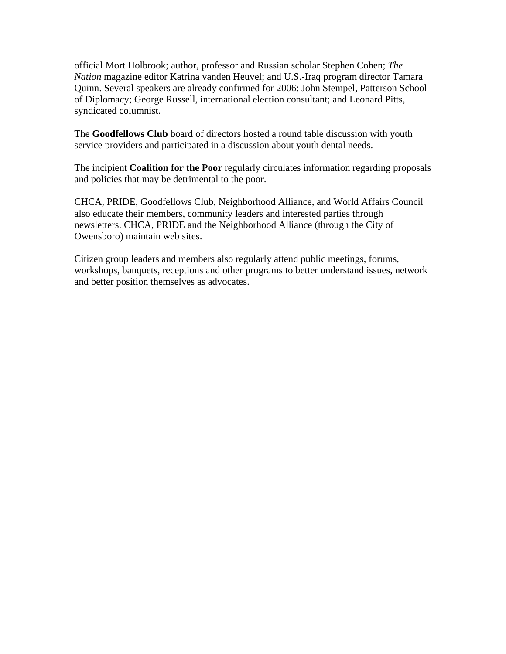official Mort Holbrook; author, professor and Russian scholar Stephen Cohen; *The Nation* magazine editor Katrina vanden Heuvel; and U.S.-Iraq program director Tamara Quinn. Several speakers are already confirmed for 2006: John Stempel, Patterson School of Diplomacy; George Russell, international election consultant; and Leonard Pitts, syndicated columnist.

The **Goodfellows Club** board of directors hosted a round table discussion with youth service providers and participated in a discussion about youth dental needs.

The incipient **Coalition for the Poor** regularly circulates information regarding proposals and policies that may be detrimental to the poor.

CHCA, PRIDE, Goodfellows Club, Neighborhood Alliance, and World Affairs Council also educate their members, community leaders and interested parties through newsletters. CHCA, PRIDE and the Neighborhood Alliance (through the City of Owensboro) maintain web sites.

Citizen group leaders and members also regularly attend public meetings, forums, workshops, banquets, receptions and other programs to better understand issues, network and better position themselves as advocates.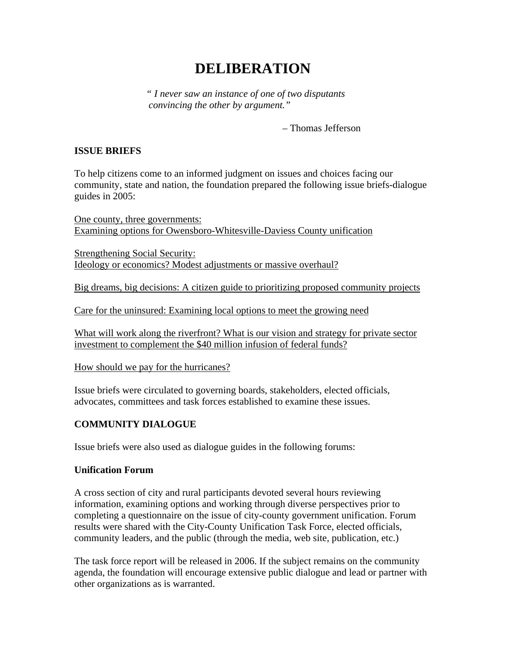# **DELIBERATION**

 *" I never saw an instance of one of two disputants convincing the other by argument."* 

– Thomas Jefferson

#### **ISSUE BRIEFS**

To help citizens come to an informed judgment on issues and choices facing our community, state and nation, the foundation prepared the following issue briefs-dialogue guides in 2005:

One county, three governments: Examining options for Owensboro-Whitesville-Daviess County unification

Strengthening Social Security: Ideology or economics? Modest adjustments or massive overhaul?

Big dreams, big decisions: A citizen guide to prioritizing proposed community projects

Care for the uninsured: Examining local options to meet the growing need

What will work along the riverfront? What is our vision and strategy for private sector investment to complement the \$40 million infusion of federal funds?

How should we pay for the hurricanes?

Issue briefs were circulated to governing boards, stakeholders, elected officials, advocates, committees and task forces established to examine these issues.

# **COMMUNITY DIALOGUE**

Issue briefs were also used as dialogue guides in the following forums:

# **Unification Forum**

A cross section of city and rural participants devoted several hours reviewing information, examining options and working through diverse perspectives prior to completing a questionnaire on the issue of city-county government unification. Forum results were shared with the City-County Unification Task Force, elected officials, community leaders, and the public (through the media, web site, publication, etc.)

The task force report will be released in 2006. If the subject remains on the community agenda, the foundation will encourage extensive public dialogue and lead or partner with other organizations as is warranted.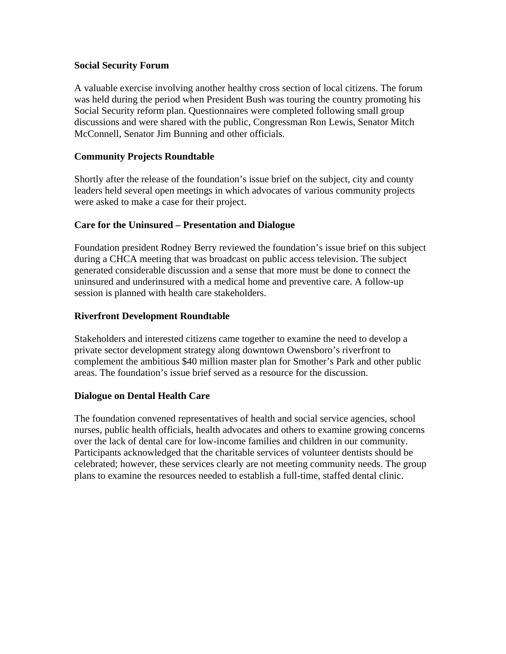### **Social Security Forum**

A valuable exercise involving another healthy cross section of local citizens. The forum was held during the period when President Bush was touring the country promoting his Social Security reform plan. Questionnaires were completed following small group discussions and were shared with the public, Congressman Ron Lewis, Senator Mitch McConnell, Senator Jim Bunning and other officials.

### **Community Projects Roundtable**

Shortly after the release of the foundation's issue brief on the subject, city and county leaders held several open meetings in which advocates of various community projects were asked to make a case for their project.

### **Care for the Uninsured – Presentation and Dialogue**

Foundation president Rodney Berry reviewed the foundation's issue brief on this subject during a CHCA meeting that was broadcast on public access television. The subject generated considerable discussion and a sense that more must be done to connect the uninsured and underinsured with a medical home and preventive care. A follow-up session is planned with health care stakeholders.

### **Riverfront Development Roundtable**

Stakeholders and interested citizens came together to examine the need to develop a private sector development strategy along downtown Owensboro's riverfront to complement the ambitious \$40 million master plan for Smother's Park and other public areas. The foundation's issue brief served as a resource for the discussion.

#### **Dialogue on Dental Health Care**

The foundation convened representatives of health and social service agencies, school nurses, public health officials, health advocates and others to examine growing concerns over the lack of dental care for low-income families and children in our community. Participants acknowledged that the charitable services of volunteer dentists should be celebrated; however, these services clearly are not meeting community needs. The group plans to examine the resources needed to establish a full-time, staffed dental clinic.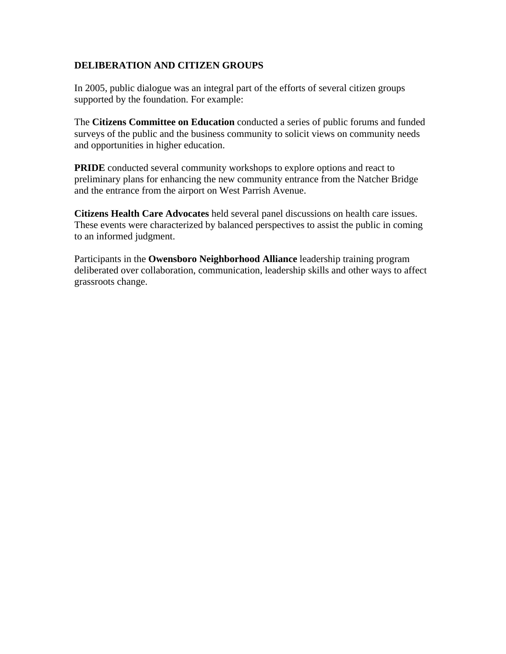# **DELIBERATION AND CITIZEN GROUPS**

In 2005, public dialogue was an integral part of the efforts of several citizen groups supported by the foundation. For example:

The **Citizens Committee on Education** conducted a series of public forums and funded surveys of the public and the business community to solicit views on community needs and opportunities in higher education.

**PRIDE** conducted several community workshops to explore options and react to preliminary plans for enhancing the new community entrance from the Natcher Bridge and the entrance from the airport on West Parrish Avenue.

**Citizens Health Care Advocates** held several panel discussions on health care issues. These events were characterized by balanced perspectives to assist the public in coming to an informed judgment.

Participants in the **Owensboro Neighborhood Alliance** leadership training program deliberated over collaboration, communication, leadership skills and other ways to affect grassroots change.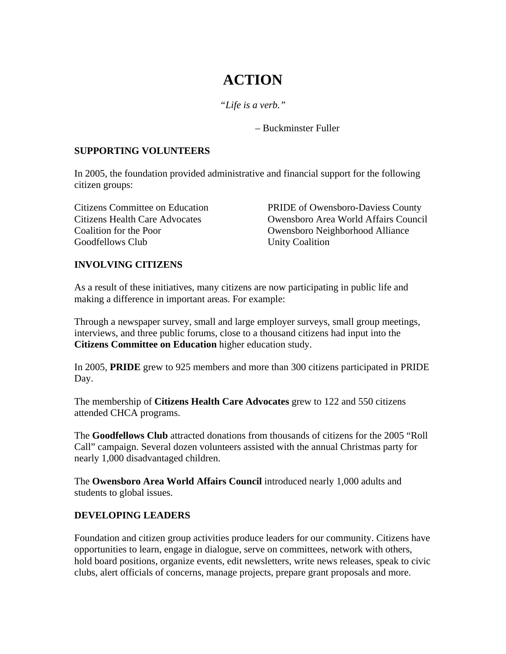# **ACTION**

*"Life is a verb."* 

– Buckminster Fuller

### **SUPPORTING VOLUNTEERS**

In 2005, the foundation provided administrative and financial support for the following citizen groups:

Citizens Committee on Education Citizens Health Care Advocates Coalition for the Poor Goodfellows Club

PRIDE of Owensboro-Daviess County Owensboro Area World Affairs Council Owensboro Neighborhood Alliance Unity Coalition

### **INVOLVING CITIZENS**

As a result of these initiatives, many citizens are now participating in public life and making a difference in important areas. For example:

Through a newspaper survey, small and large employer surveys, small group meetings, interviews, and three public forums, close to a thousand citizens had input into the **Citizens Committee on Education** higher education study.

In 2005, **PRIDE** grew to 925 members and more than 300 citizens participated in PRIDE Day.

The membership of **Citizens Health Care Advocates** grew to 122 and 550 citizens attended CHCA programs.

The **Goodfellows Club** attracted donations from thousands of citizens for the 2005 "Roll Call" campaign. Several dozen volunteers assisted with the annual Christmas party for nearly 1,000 disadvantaged children.

The **Owensboro Area World Affairs Council** introduced nearly 1,000 adults and students to global issues.

# **DEVELOPING LEADERS**

Foundation and citizen group activities produce leaders for our community. Citizens have opportunities to learn, engage in dialogue, serve on committees, network with others, hold board positions, organize events, edit newsletters, write news releases, speak to civic clubs, alert officials of concerns, manage projects, prepare grant proposals and more.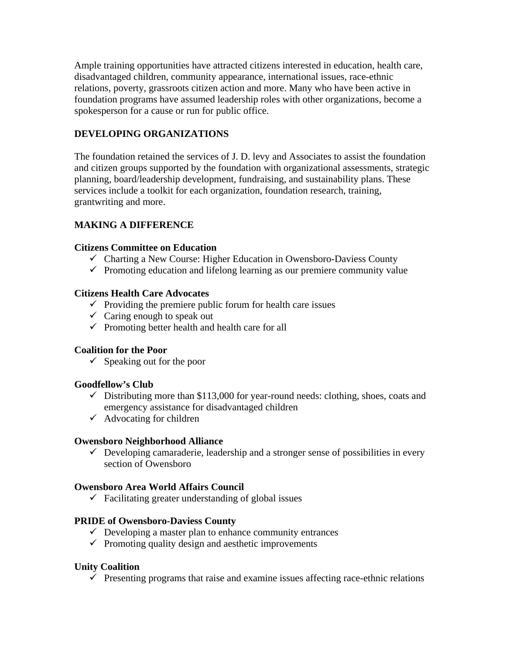Ample training opportunities have attracted citizens interested in education, health care, disadvantaged children, community appearance, international issues, race-ethnic relations, poverty, grassroots citizen action and more. Many who have been active in foundation programs have assumed leadership roles with other organizations, become a spokesperson for a cause or run for public office.

# **DEVELOPING ORGANIZATIONS**

The foundation retained the services of J. D. levy and Associates to assist the foundation and citizen groups supported by the foundation with organizational assessments, strategic planning, board/leadership development, fundraising, and sustainability plans. These services include a toolkit for each organization, foundation research, training, grantwriting and more.

# **MAKING A DIFFERENCE**

#### **Citizens Committee on Education**

- $\checkmark$  Charting a New Course: Higher Education in Owensboro-Daviess County
- $\checkmark$  Promoting education and lifelong learning as our premiere community value

#### **Citizens Health Care Advocates**

- $\checkmark$  Providing the premiere public forum for health care issues
- $\checkmark$  Caring enough to speak out
- $\checkmark$  Promoting better health and health care for all

#### **Coalition for the Poor**

 $\checkmark$  Speaking out for the poor

#### **Goodfellow's Club**

- $\checkmark$  Distributing more than \$113,000 for year-round needs: clothing, shoes, coats and emergency assistance for disadvantaged children
- $\checkmark$  Advocating for children

#### **Owensboro Neighborhood Alliance**

 $\checkmark$  Developing camaraderie, leadership and a stronger sense of possibilities in every section of Owensboro

#### **Owensboro Area World Affairs Council**

 $\checkmark$  Facilitating greater understanding of global issues

#### **PRIDE of Owensboro-Daviess County**

- $\checkmark$  Developing a master plan to enhance community entrances
- $\checkmark$  Promoting quality design and aesthetic improvements

#### **Unity Coalition**

 $\checkmark$  Presenting programs that raise and examine issues affecting race-ethnic relations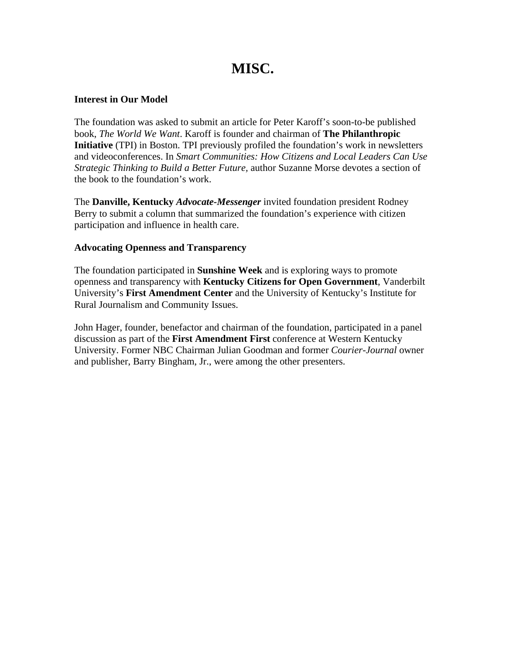# **MISC.**

#### **Interest in Our Model**

The foundation was asked to submit an article for Peter Karoff's soon-to-be published book, *The World We Want*. Karoff is founder and chairman of **The Philanthropic Initiative** (TPI) in Boston. TPI previously profiled the foundation's work in newsletters and videoconferences. In *Smart Communities: How Citizens and Local Leaders Can Use Strategic Thinking to Build a Better Future,* author Suzanne Morse devotes a section of the book to the foundation's work.

The **Danville, Kentucky** *Advocate-Messenger* invited foundation president Rodney Berry to submit a column that summarized the foundation's experience with citizen participation and influence in health care.

# **Advocating Openness and Transparency**

The foundation participated in **Sunshine Week** and is exploring ways to promote openness and transparency with **Kentucky Citizens for Open Government**, Vanderbilt University's **First Amendment Center** and the University of Kentucky's Institute for Rural Journalism and Community Issues.

John Hager, founder, benefactor and chairman of the foundation, participated in a panel discussion as part of the **First Amendment First** conference at Western Kentucky University. Former NBC Chairman Julian Goodman and former *Courier-Journal* owner and publisher, Barry Bingham, Jr., were among the other presenters.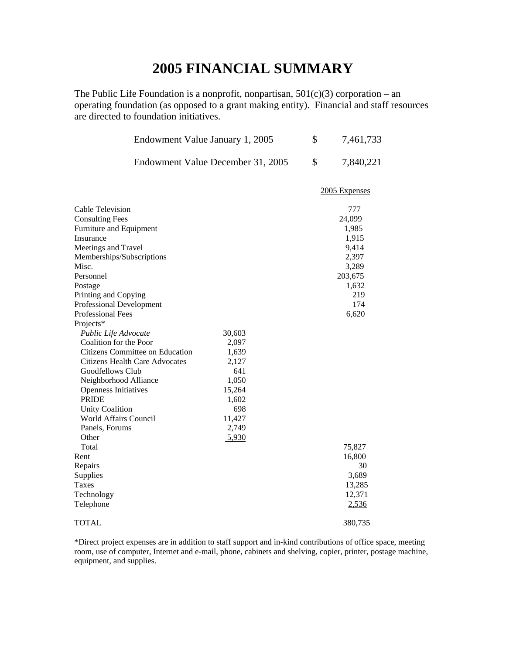# **2005 FINANCIAL SUMMARY**

The Public Life Foundation is a nonprofit, nonpartisan,  $501(c)(3)$  corporation – an operating foundation (as opposed to a grant making entity). Financial and staff resources are directed to foundation initiatives.

| Endowment Value January 1, 2005                                                                                                                                                                                                                                                                                                                                                                                                                                                                                                                                         |                                                                                                         | \$<br>7,461,733                                                                                                 |
|-------------------------------------------------------------------------------------------------------------------------------------------------------------------------------------------------------------------------------------------------------------------------------------------------------------------------------------------------------------------------------------------------------------------------------------------------------------------------------------------------------------------------------------------------------------------------|---------------------------------------------------------------------------------------------------------|-----------------------------------------------------------------------------------------------------------------|
| Endowment Value December 31, 2005                                                                                                                                                                                                                                                                                                                                                                                                                                                                                                                                       |                                                                                                         | \$<br>7,840,221                                                                                                 |
|                                                                                                                                                                                                                                                                                                                                                                                                                                                                                                                                                                         |                                                                                                         | 2005 Expenses                                                                                                   |
| Cable Television<br><b>Consulting Fees</b><br>Furniture and Equipment<br>Insurance<br>Meetings and Travel<br>Memberships/Subscriptions<br>Misc.<br>Personnel<br>Postage<br>Printing and Copying<br>Professional Development<br>Professional Fees<br>Projects*<br>Public Life Advocate<br>Coalition for the Poor<br>Citizens Committee on Education<br>Citizens Health Care Advocates<br>Goodfellows Club<br>Neighborhood Alliance<br><b>Openness Initiatives</b><br><b>PRIDE</b><br><b>Unity Coalition</b><br>World Affairs Council<br>Panels, Forums<br>Other<br>Total | 30,603<br>2,097<br>1,639<br>2,127<br>641<br>1,050<br>15,264<br>1,602<br>698<br>11,427<br>2,749<br>5,930 | 777<br>24,099<br>1,985<br>1,915<br>9,414<br>2,397<br>3,289<br>203,675<br>1,632<br>219<br>174<br>6,620<br>75,827 |
| Rent<br>Repairs<br>Supplies<br><b>Taxes</b><br>Technology<br>Telephone                                                                                                                                                                                                                                                                                                                                                                                                                                                                                                  |                                                                                                         | 16,800<br>30<br>3,689<br>13,285<br>12,371<br>2,536                                                              |
| <b>TOTAL</b>                                                                                                                                                                                                                                                                                                                                                                                                                                                                                                                                                            |                                                                                                         | 380,735                                                                                                         |

\*Direct project expenses are in addition to staff support and in-kind contributions of office space, meeting room, use of computer, Internet and e-mail, phone, cabinets and shelving, copier, printer, postage machine, equipment, and supplies.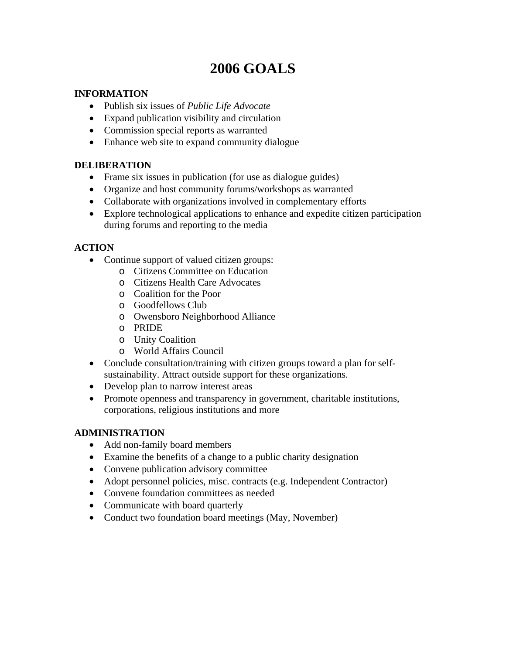# **2006 GOALS**

# **INFORMATION**

- Publish six issues of *Public Life Advocate*
- Expand publication visibility and circulation
- Commission special reports as warranted
- Enhance web site to expand community dialogue

# **DELIBERATION**

- Frame six issues in publication (for use as dialogue guides)
- Organize and host community forums/workshops as warranted
- Collaborate with organizations involved in complementary efforts
- Explore technological applications to enhance and expedite citizen participation during forums and reporting to the media

# **ACTION**

- Continue support of valued citizen groups:
	- o Citizens Committee on Education
	- o Citizens Health Care Advocates
	- o Coalition for the Poor
	- o Goodfellows Club
	- o Owensboro Neighborhood Alliance
	- o PRIDE
	- o Unity Coalition
	- o World Affairs Council
- Conclude consultation/training with citizen groups toward a plan for selfsustainability. Attract outside support for these organizations.
- Develop plan to narrow interest areas
- Promote openness and transparency in government, charitable institutions, corporations, religious institutions and more

# **ADMINISTRATION**

- Add non-family board members
- Examine the benefits of a change to a public charity designation
- Convene publication advisory committee
- Adopt personnel policies, misc. contracts (e.g. Independent Contractor)
- Convene foundation committees as needed
- Communicate with board quarterly
- Conduct two foundation board meetings (May, November)